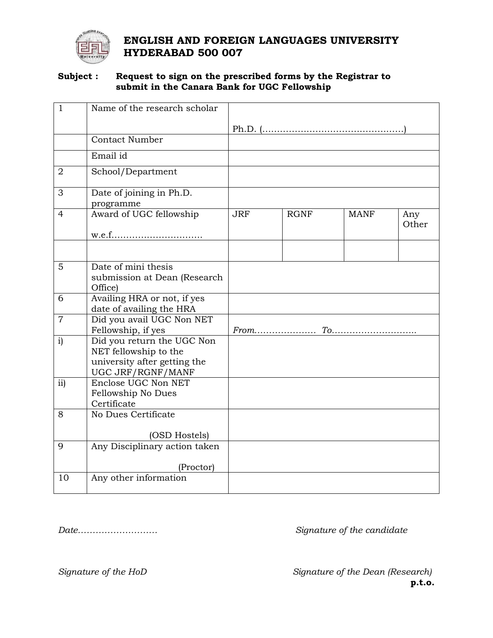

# **ENGLISH AND FOREIGN LANGUAGES UNIVERSITY HYDERABAD 500 007**

#### **Subject : Request to sign on the prescribed forms by the Registrar to submit in the Canara Bank for UGC Fellowship**

| $\mathbf{1}$   | Name of the research scholar                                                                             |            |             |             |              |
|----------------|----------------------------------------------------------------------------------------------------------|------------|-------------|-------------|--------------|
|                |                                                                                                          |            |             |             |              |
|                | <b>Contact Number</b>                                                                                    |            |             |             |              |
|                | Email id                                                                                                 |            |             |             |              |
| $\overline{2}$ | School/Department                                                                                        |            |             |             |              |
| 3              | Date of joining in Ph.D.<br>programme                                                                    |            |             |             |              |
| 4              | Award of UGC fellowship                                                                                  | <b>JRF</b> | <b>RGNF</b> | <b>MANF</b> | Any<br>Other |
|                |                                                                                                          |            |             |             |              |
| 5              | Date of mini thesis<br>submission at Dean (Research<br>Office)                                           |            |             |             |              |
| 6              | Availing HRA or not, if yes<br>date of availing the HRA                                                  |            |             |             |              |
| $\overline{7}$ | Did you avail UGC Non NET<br>Fellowship, if yes                                                          |            |             |             |              |
| i)             | Did you return the UGC Non<br>NET fellowship to the<br>university after getting the<br>UGC JRF/RGNF/MANF |            |             |             |              |
| ii)            | Enclose UGC Non NET<br>Fellowship No Dues<br>Certificate                                                 |            |             |             |              |
| 8              | No Dues Certificate                                                                                      |            |             |             |              |
|                | (OSD Hostels)                                                                                            |            |             |             |              |
| 9              | Any Disciplinary action taken                                                                            |            |             |             |              |
|                | (Proctor)                                                                                                |            |             |             |              |
| 10             | Any other information                                                                                    |            |             |             |              |

# *Date……………………… Signature of the candidate*

*Signature of the HoD Signature of the Dean (Research)* **p.t.o.**